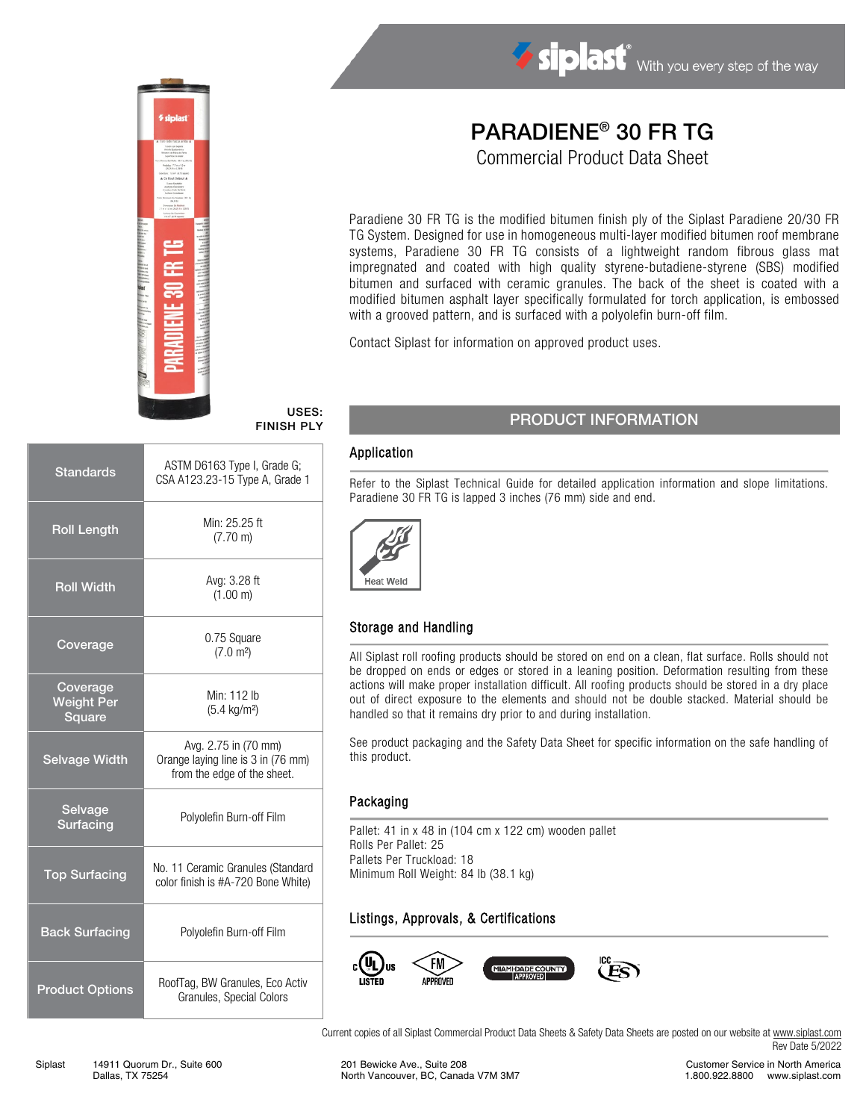

# Siplast With you every step of the way

## PARADIENE® 30 FR TG

Commercial Product Data Sheet

Paradiene 30 FR TG is the modified bitumen finish ply of the Siplast Paradiene 20/30 FR TG System. Designed for use in homogeneous multi-layer modified bitumen roof membrane systems, Paradiene 30 FR TG consists of a lightweight random fibrous glass mat impregnated and coated with high quality styrene-butadiene-styrene (SBS) modified bitumen and surfaced with ceramic granules. The back of the sheet is coated with a modified bitumen asphalt layer specifically formulated for torch application, is embossed with a grooved pattern, and is surfaced with a polyolefin burn-off film.

Contact Siplast for information on approved product uses.

#### USES: FINISH PLY

| <b>Standards</b>                        | ASTM D6163 Type I, Grade G;<br>CSA A123.23-15 Type A, Grade 1                             |  |  |
|-----------------------------------------|-------------------------------------------------------------------------------------------|--|--|
| <b>Roll Length</b>                      | Min: 25.25 ft<br>$(7.70 \text{ m})$                                                       |  |  |
| <b>Roll Width</b>                       | Avg: 3.28 ft<br>(1.00 m)                                                                  |  |  |
| Coverage                                | 0.75 Square<br>(7.0 m <sup>2</sup> )                                                      |  |  |
| Coverage<br><b>Weight Per</b><br>Square | Min: 112 lb<br>$(5.4 \text{ kg/m}^2)$                                                     |  |  |
| <b>Selvage Width</b>                    | Avg. 2.75 in (70 mm)<br>Orange laying line is 3 in (76 mm)<br>from the edge of the sheet. |  |  |
| Selvage<br>Surfacing                    | Polyolefin Burn-off Film                                                                  |  |  |
| <b>Top Surfacing</b>                    | No. 11 Ceramic Granules (Standard<br>color finish is #A-720 Bone White)                   |  |  |
| <b>Back Surfacing</b>                   | Polyolefin Burn-off Film                                                                  |  |  |
| <b>Product Options</b>                  | RoofTag, BW Granules, Eco Activ<br>Granules, Special Colors                               |  |  |

### PRODUCT INFORMATION

#### Application

Refer to the Siplast Technical Guide for detailed application information and slope limitations. Paradiene 30 FR TG is lapped 3 inches (76 mm) side and end.



#### Storage and Handling

All Siplast roll roofing products should be stored on end on a clean, flat surface. Rolls should not be dropped on ends or edges or stored in a leaning position. Deformation resulting from these actions will make proper installation difficult. All roofing products should be stored in a dry place out of direct exposure to the elements and should not be double stacked. Material should be handled so that it remains dry prior to and during installation.

See product packaging and the Safety Data Sheet for specific information on the safe handling of this product.

#### Packaging

Pallet: 41 in x 48 in (104 cm x 122 cm) wooden pallet Rolls Per Pallet: 25 Pallets Per Truckload: 18 Minimum Roll Weight: 84 lb (38.1 kg)

#### Listings, Approvals, & Certifications



Current copies of all Siplast Commercial Product Data Sheets & Safety Data Sheets are posted on our website at [www.siplast.com](http://www.siplast.com/) Rev Date 5/2022

Customer Service in North America 1.800.922.8800 www.siplast.com